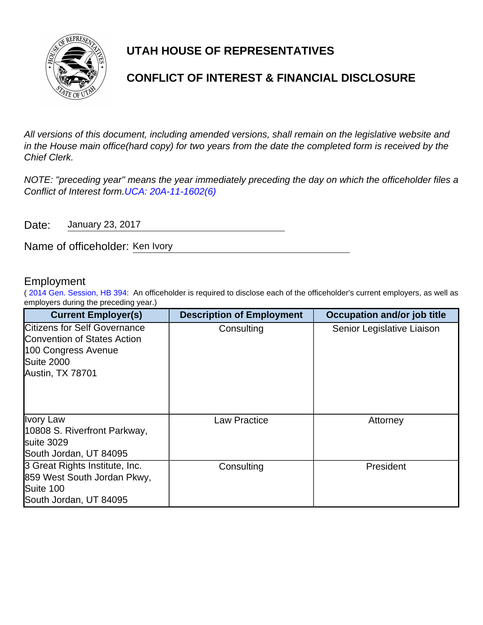

# **UTAH HOUSE OF REPRESENTATIVES**

## **CONFLICT OF INTEREST & FINANCIAL DISCLOSURE**

All versions of this document, including amended versions, shall remain on the legislative website and in the House main office(hard copy) for two years from the date the completed form is received by the Chief Clerk.

NOTE: "preceding year" means the year immediately preceding the day on which the officeholder files a Conflict of Interest form.[UCA: 20A-11-1602\(6\)](http://www.le.utah.gov/xcode/Title20A/Chapter11/20A-11-S1602.html)

Date: January 23, 2017

Name of officeholder: Ken Ivory

### Employment

( [2014 Gen. Session, HB 394:](http://le.utah.gov/~2014/bills/static/HB0394.html) An officeholder is required to disclose each of the officeholder's current employers, as well as employers during the preceding year.)

| <b>Current Employer(s)</b>                                                                                                                | <b>Description of Employment</b> | <b>Occupation and/or job title</b> |
|-------------------------------------------------------------------------------------------------------------------------------------------|----------------------------------|------------------------------------|
| <b>Citizens for Self Governance</b><br><b>Convention of States Action</b><br>100 Congress Avenue<br><b>Suite 2000</b><br>Austin, TX 78701 | Consulting                       | Senior Legislative Liaison         |
| <b>Ivory Law</b><br>10808 S. Riverfront Parkway,<br>suite 3029<br>South Jordan, UT 84095                                                  | <b>Law Practice</b>              | Attorney                           |
| 3 Great Rights Institute, Inc.<br>859 West South Jordan Pkwy,<br>Suite 100<br>South Jordan, UT 84095                                      | Consulting                       | President                          |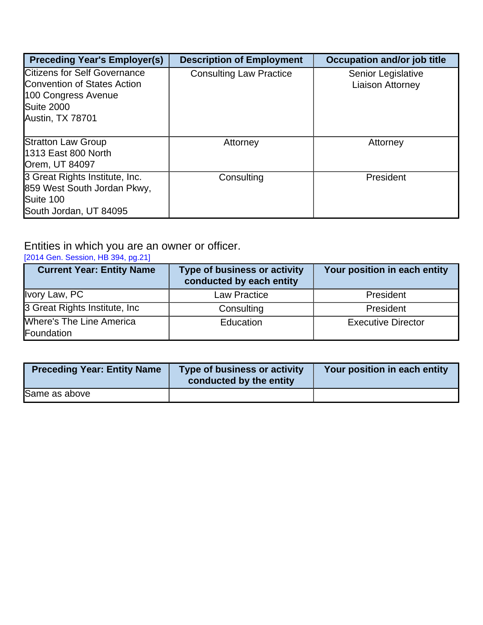| <b>Preceding Year's Employer(s)</b>                                                                                                | <b>Description of Employment</b> | <b>Occupation and/or job title</b>            |
|------------------------------------------------------------------------------------------------------------------------------------|----------------------------------|-----------------------------------------------|
| <b>Citizens for Self Governance</b><br><b>Convention of States Action</b><br>100 Congress Avenue<br>Suite 2000<br>Austin, TX 78701 | <b>Consulting Law Practice</b>   | Senior Legislative<br><b>Liaison Attorney</b> |
| <b>Stratton Law Group</b><br><b>1313 East 800 North</b><br>Orem, UT 84097                                                          | Attorney                         | Attorney                                      |
| 3 Great Rights Institute, Inc.<br>859 West South Jordan Pkwy,<br>Suite 100<br>South Jordan, UT 84095                               | Consulting                       | President                                     |

### Entities in which you are an owner or officer.

#### [\[2014 Gen. Session, HB 394, pg.21\]](http://le.utah.gov/~2014/bills/static/HB0394.html)

| <b>Current Year: Entity Name</b>              | <b>Type of business or activity</b><br>conducted by each entity | Your position in each entity |
|-----------------------------------------------|-----------------------------------------------------------------|------------------------------|
| Ivory Law, PC                                 | <b>Law Practice</b>                                             | President                    |
| 3 Great Rights Institute, Inc.                | Consulting                                                      | President                    |
| <b>Where's The Line America</b><br>Foundation | Education                                                       | <b>Executive Director</b>    |

| <b>Preceding Year: Entity Name</b> | Type of business or activity<br>conducted by the entity | Your position in each entity |
|------------------------------------|---------------------------------------------------------|------------------------------|
| Same as above                      |                                                         |                              |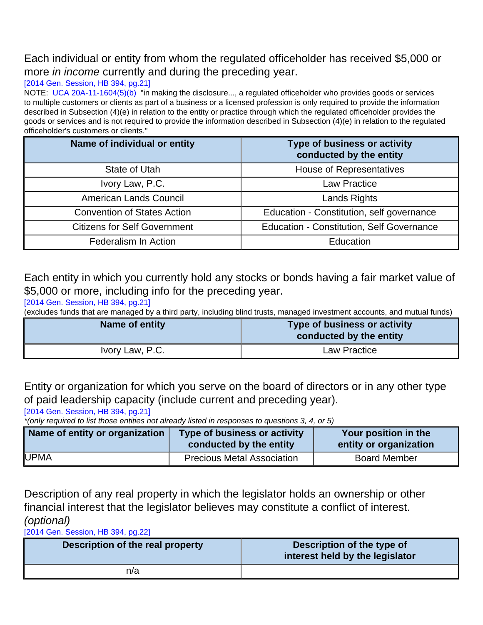## Each individual or entity from whom the regulated officeholder has received \$5,000 or more *in income* currently and during the preceding year.

### [\[2014 Gen. Session, HB 394, pg.21\]](http://le.utah.gov/~2014/bills/static/HB0394.html)

NOTE: [UCA 20A-11-1604\(5\)\(b\)](http://le.utah.gov/xcode/Title20A/Chapter11/20A-11-S1604.html?v=C20A-11-S1604_2014040320140313) "in making the disclosure..., a regulated officeholder who provides goods or services to multiple customers or clients as part of a business or a licensed profession is only required to provide the information described in Subsection (4)(e) in relation to the entity or practice through which the regulated officeholder provides the goods or services and is not required to provide the information described in Subsection (4)(e) in relation to the regulated officeholder's customers or clients."

| Name of individual or entity        | Type of business or activity<br>conducted by the entity |
|-------------------------------------|---------------------------------------------------------|
| State of Utah                       | <b>House of Representatives</b>                         |
| Ivory Law, P.C.                     | <b>Law Practice</b>                                     |
| American Lands Council              | <b>Lands Rights</b>                                     |
| <b>Convention of States Action</b>  | Education - Constitution, self governance               |
| <b>Citizens for Self Government</b> | <b>Education - Constitution, Self Governance</b>        |
| <b>Federalism In Action</b>         | Education                                               |

Each entity in which you currently hold any stocks or bonds having a fair market value of \$5,000 or more, including info for the preceding year.

[\[2014 Gen. Session, HB 394, pg.21\]](http://le.utah.gov/~2014/bills/static/HB0394.html)

(excludes funds that are managed by a third party, including blind trusts, managed investment accounts, and mutual funds)

| Name of entity  | Type of business or activity<br>conducted by the entity |
|-----------------|---------------------------------------------------------|
| Ivory Law, P.C. | Law Practice                                            |

Entity or organization for which you serve on the board of directors or in any other type of paid leadership capacity (include current and preceding year).

[\[2014 Gen. Session, HB 394, pg.21\]](http://le.utah.gov/~2014/bills/static/HB0394.html)

\*(only required to list those entities not already listed in responses to questions 3, 4, or 5)

| Name of entity or organization | Type of business or activity<br>conducted by the entity | Your position in the<br>entity or organization |
|--------------------------------|---------------------------------------------------------|------------------------------------------------|
| <b>UPMA</b>                    | <b>Precious Metal Association</b>                       | <b>Board Member</b>                            |

Description of any real property in which the legislator holds an ownership or other financial interest that the legislator believes may constitute a conflict of interest. (optional)

[\[2014 Gen. Session, HB 394, pg.22\]](http://le.utah.gov/~2014/bills/static/HB0394.html)

| Description of the real property | Description of the type of<br>interest held by the legislator |
|----------------------------------|---------------------------------------------------------------|
| n/a                              |                                                               |